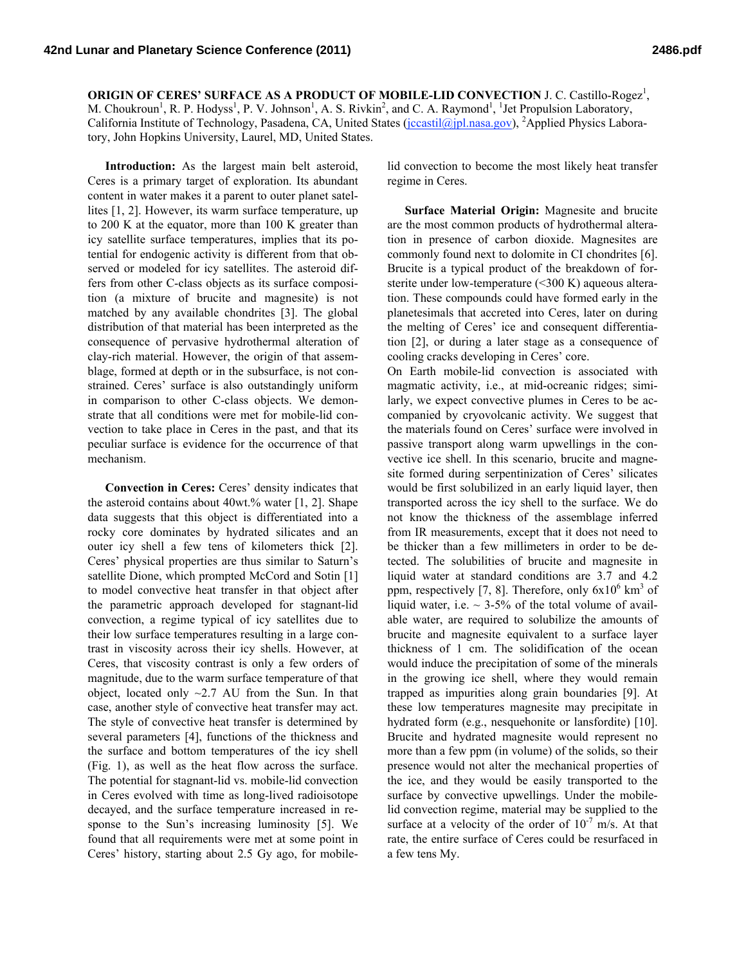**ORIGIN OF CERES' SURFACE AS A PRODUCT OF MOBILE-LID CONVECTION J. C. Castillo-Rogez<sup>1</sup>,** M. Choukroun<sup>1</sup>, R. P. Hodyss<sup>1</sup>, P. V. Johnson<sup>1</sup>, A. S. Rivkin<sup>2</sup>, and C. A. Raymond<sup>1</sup>, <sup>1</sup>Jet Propulsion Laboratory, California Institute of Technology, Pasadena, CA, United States (jccastil@jpl.nasa.gov), <sup>2</sup>Applied Physics Laboratory, John Hopkins University, Laurel, MD, United States.

**Introduction:** As the largest main belt asteroid, Ceres is a primary target of exploration. Its abundant content in water makes it a parent to outer planet satellites [1, 2]. However, its warm surface temperature, up to 200 K at the equator, more than 100 K greater than icy satellite surface temperatures, implies that its potential for endogenic activity is different from that observed or modeled for icy satellites. The asteroid differs from other C-class objects as its surface composition (a mixture of brucite and magnesite) is not matched by any available chondrites [3]. The global distribution of that material has been interpreted as the consequence of pervasive hydrothermal alteration of clay-rich material. However, the origin of that assemblage, formed at depth or in the subsurface, is not constrained. Ceres' surface is also outstandingly uniform in comparison to other C-class objects. We demonstrate that all conditions were met for mobile-lid convection to take place in Ceres in the past, and that its peculiar surface is evidence for the occurrence of that mechanism.

**Convection in Ceres:** Ceres' density indicates that the asteroid contains about  $40wt$ .% water [1, 2]. Shape data suggests that this object is differentiated into a rocky core dominates by hydrated silicates and an outer icy shell a few tens of kilometers thick [2]. Ceres' physical properties are thus similar to Saturn's satellite Dione, which prompted McCord and Sotin [1] to model convective heat transfer in that object after the parametric approach developed for stagnant-lid convection, a regime typical of icy satellites due to their low surface temperatures resulting in a large contrast in viscosity across their icy shells. However, at Ceres, that viscosity contrast is only a few orders of magnitude, due to the warm surface temperature of that object, located only  $\sim$ 2.7 AU from the Sun. In that case, another style of convective heat transfer may act. The style of convective heat transfer is determined by several parameters [4], functions of the thickness and the surface and bottom temperatures of the icy shell (Fig. 1), as well as the heat flow across the surface. The potential for stagnant-lid vs. mobile-lid convection in Ceres evolved with time as long-lived radioisotope decayed, and the surface temperature increased in response to the Sun's increasing luminosity [5]. We found that all requirements were met at some point in Ceres' history, starting about 2.5 Gy ago, for mobilelid convection to become the most likely heat transfer regime in Ceres.

**Surface Material Origin:** Magnesite and brucite are the most common products of hydrothermal alteration in presence of carbon dioxide. Magnesites are commonly found next to dolomite in CI chondrites [6]. Brucite is a typical product of the breakdown of forsterite under low-temperature (<300 K) aqueous alteration. These compounds could have formed early in the planetesimals that accreted into Ceres, later on during the melting of Ceres' ice and consequent differentiation [2], or during a later stage as a consequence of cooling cracks developing in Ceres' core.

On Earth mobile-lid convection is associated with magmatic activity, i.e., at mid-ocreanic ridges; similarly, we expect convective plumes in Ceres to be accompanied by cryovolcanic activity. We suggest that the materials found on Ceres' surface were involved in passive transport along warm upwellings in the convective ice shell. In this scenario, brucite and magnesite formed during serpentinization of Ceres' silicates would be first solubilized in an early liquid layer, then transported across the icy shell to the surface. We do not know the thickness of the assemblage inferred from IR measurements, except that it does not need to be thicker than a few millimeters in order to be detected. The solubilities of brucite and magnesite in liquid water at standard conditions are 3.7 and 4.2 ppm, respectively [7, 8]. Therefore, only  $6x10^6$  km<sup>3</sup> of liquid water, i.e.  $\sim$  3-5% of the total volume of available water, are required to solubilize the amounts of brucite and magnesite equivalent to a surface layer thickness of 1 cm. The solidification of the ocean would induce the precipitation of some of the minerals in the growing ice shell, where they would remain trapped as impurities along grain boundaries [9]. At these low temperatures magnesite may precipitate in hydrated form (e.g., nesquehonite or lansfordite) [10]. Brucite and hydrated magnesite would represent no more than a few ppm (in volume) of the solids, so their presence would not alter the mechanical properties of the ice, and they would be easily transported to the surface by convective upwellings. Under the mobilelid convection regime, material may be supplied to the surface at a velocity of the order of  $10^{-7}$  m/s. At that rate, the entire surface of Ceres could be resurfaced in a few tens My.